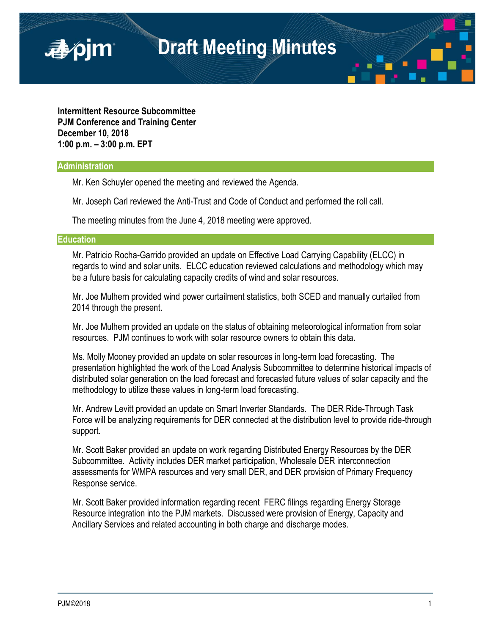**Intermittent Resource Subcommittee PJM Conference and Training Center December 10, 2018 1:00 p.m. – 3:00 p.m. EPT**

## **Administration**

■pjm

Mr. Ken Schuyler opened the meeting and reviewed the Agenda.

Mr. Joseph Carl reviewed the Anti-Trust and Code of Conduct and performed the roll call.

The meeting minutes from the June 4, 2018 meeting were approved.

## **Education**

Mr. Patricio Rocha-Garrido provided an update on Effective Load Carrying Capability (ELCC) in regards to wind and solar units. ELCC education reviewed calculations and methodology which may be a future basis for calculating capacity credits of wind and solar resources.

Mr. Joe Mulhern provided wind power curtailment statistics, both SCED and manually curtailed from 2014 through the present.

Mr. Joe Mulhern provided an update on the status of obtaining meteorological information from solar resources. PJM continues to work with solar resource owners to obtain this data.

Ms. Molly Mooney provided an update on solar resources in long-term load forecasting. The presentation highlighted the work of the Load Analysis Subcommittee to determine historical impacts of distributed solar generation on the load forecast and forecasted future values of solar capacity and the methodology to utilize these values in long-term load forecasting.

Mr. Andrew Levitt provided an update on Smart Inverter Standards. The DER Ride-Through Task Force will be analyzing requirements for DER connected at the distribution level to provide ride-through support.

Mr. Scott Baker provided an update on work regarding Distributed Energy Resources by the DER Subcommittee. Activity includes DER market participation, Wholesale DER interconnection assessments for WMPA resources and very small DER, and DER provision of Primary Frequency Response service.

Mr. Scott Baker provided information regarding recent FERC filings regarding Energy Storage Resource integration into the PJM markets. Discussed were provision of Energy, Capacity and Ancillary Services and related accounting in both charge and discharge modes.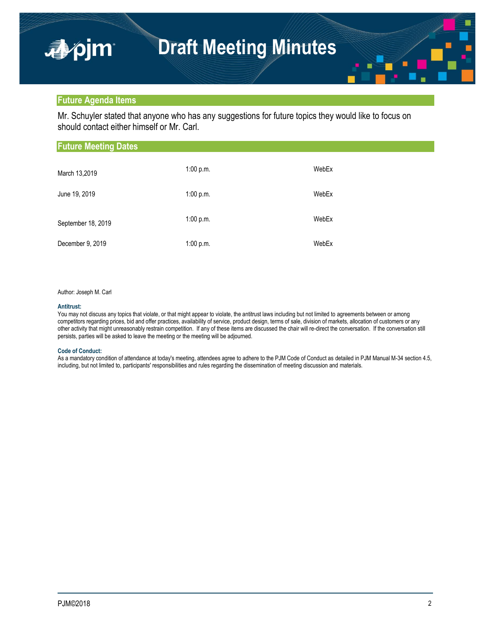## **Future Agenda Items**

apjm

Mr. Schuyler stated that anyone who has any suggestions for future topics they would like to focus on should contact either himself or Mr. Carl.

| <b>Future Meeting Dates</b> |           |       |  |  |
|-----------------------------|-----------|-------|--|--|
| March 13,2019               | 1:00 p.m. | WebEx |  |  |
| June 19, 2019               | 1:00 p.m. | WebEx |  |  |
| September 18, 2019          | 1:00 p.m. | WebEx |  |  |
| December 9, 2019            | 1:00 p.m. | WebEx |  |  |

### Author: Joseph M. Carl

#### **Antitrust:**

You may not discuss any topics that violate, or that might appear to violate, the antitrust laws including but not limited to agreements between or among competitors regarding prices, bid and offer practices, availability of service, product design, terms of sale, division of markets, allocation of customers or any other activity that might unreasonably restrain competition. If any of these items are discussed the chair will re-direct the conversation. If the conversation still persists, parties will be asked to leave the meeting or the meeting will be adjourned.

## **Code of Conduct:**

As a mandatory condition of attendance at today's meeting, attendees agree to adhere to the PJM Code of Conduct as detailed in PJM Manual M-34 section 4.5, including, but not limited to, participants' responsibilities and rules regarding the dissemination of meeting discussion and materials.